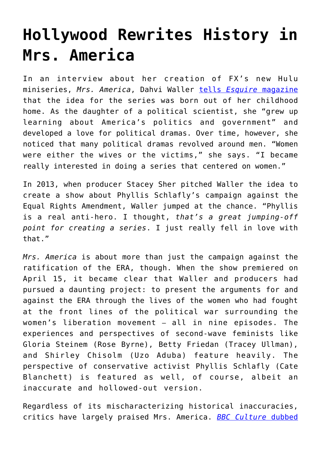## **[Hollywood Rewrites History in](https://intellectualtakeout.org/2020/04/hollywood-rewrites-history-in-mrs-america/) [Mrs. America](https://intellectualtakeout.org/2020/04/hollywood-rewrites-history-in-mrs-america/)**

In an interview about her creation of FX's new Hulu miniseries, *Mrs. America*, Dahvi Waller [tells](https://www.esquire.com/entertainment/tv/a32132008/mrs-america-creator-dahvi-waller-phyllis-schlafly-feminism/) *[Esquire](https://www.esquire.com/entertainment/tv/a32132008/mrs-america-creator-dahvi-waller-phyllis-schlafly-feminism/)* [magazine](https://www.esquire.com/entertainment/tv/a32132008/mrs-america-creator-dahvi-waller-phyllis-schlafly-feminism/) that the idea for the series was born out of her childhood home. As the daughter of a political scientist, she "grew up learning about America's politics and government" and developed a love for political dramas. Over time, however, she noticed that many political dramas revolved around men. "Women were either the wives or the victims," she says. "I became really interested in doing a series that centered on women."

In 2013, when producer Stacey Sher pitched Waller the idea to create a show about Phyllis Schlafly's campaign against the Equal Rights Amendment, Waller jumped at the chance. "Phyllis is a real anti-hero. I thought, *that's a great jumping-off point for creating a series*. I just really fell in love with that."

*Mrs. America* is about more than just the campaign against the ratification of the ERA, though. When the show premiered on April 15, it became clear that Waller and producers had pursued a daunting project: to present the arguments for and against the ERA through the lives of the women who had fought at the front lines of the political war surrounding the women's liberation movement – all in nine episodes. The experiences and perspectives of second-wave feminists like Gloria Steinem (Rose Byrne), Betty Friedan (Tracey Ullman), and Shirley Chisolm (Uzo Aduba) feature heavily. The perspective of conservative activist Phyllis Schlafly (Cate Blanchett) is featured as well, of course, albeit an inaccurate and hollowed-out version.

Regardless of its mischaracterizing historical inaccuracies, critics have largely praised Mrs. America. *[BBC Culture](http://www.bbc.com/culture/story/20200402-mrs-america-review-a-smart-tale-of-an-anti-feminist-icon)* [dubbed](http://www.bbc.com/culture/story/20200402-mrs-america-review-a-smart-tale-of-an-anti-feminist-icon)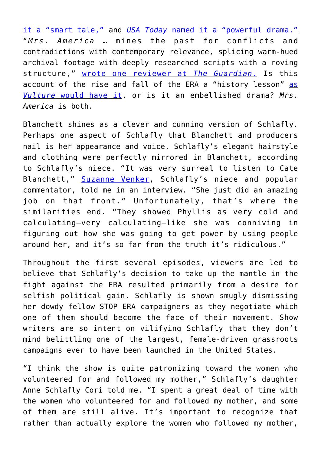[it a "smart tale,"](http://www.bbc.com/culture/story/20200402-mrs-america-review-a-smart-tale-of-an-anti-feminist-icon) and *[USA Today](https://www.usatoday.com/story/entertainment/tv/2020/04/14/mrs-america-review-cate-blanchett-rules-unapologetic-era-story/2961077001/)* [named it a "powerful drama."](https://www.usatoday.com/story/entertainment/tv/2020/04/14/mrs-america-review-cate-blanchett-rules-unapologetic-era-story/2961077001/) "*Mrs. America* … mines the past for conflicts and contradictions with contemporary relevance, splicing warm-hued archival footage with deeply researched scripts with a roving structure," [wrote one reviewer at](https://www.theguardian.com/tv-and-radio/2020/apr/15/mrs-america-cate-blanchett-fx-hulu) *[The Guardian](https://www.theguardian.com/tv-and-radio/2020/apr/15/mrs-america-cate-blanchett-fx-hulu)*[.](https://www.theguardian.com/tv-and-radio/2020/apr/15/mrs-america-cate-blanchett-fx-hulu) Is this account of the rise and fall of the ERA a "history lesson" [as](https://www.vulture.com/2020/04/mrs-america-fx-on-hulu-review.html) *[Vulture](https://www.vulture.com/2020/04/mrs-america-fx-on-hulu-review.html)* [would have it,](https://www.vulture.com/2020/04/mrs-america-fx-on-hulu-review.html) or is it an embellished drama? *Mrs. America* is both.

Blanchett shines as a clever and cunning version of Schlafly. Perhaps one aspect of Schlafly that Blanchett and producers nail is her appearance and voice. Schlafly's elegant hairstyle and clothing were perfectly mirrored in Blanchett, according to Schlafly's niece. "It was very surreal to listen to Cate Blanchett," [Suzanne Venker](https://www.suzannevenker.com/), Schlafly's niece and popular commentator, told me in an interview. "She just did an amazing job on that front." Unfortunately, that's where the similarities end. "They showed Phyllis as very cold and calculating—very calculating—like she was conniving in figuring out how she was going to get power by using people around her, and it's so far from the truth it's ridiculous."

Throughout the first several episodes, viewers are led to believe that Schlafly's decision to take up the mantle in the fight against the ERA resulted primarily from a desire for selfish political gain. Schlafly is shown smugly dismissing her dowdy fellow STOP ERA campaigners as they negotiate which one of them should become the face of their movement. Show writers are so intent on vilifying Schlafly that they don't mind belittling one of the largest, female-driven grassroots campaigns ever to have been launched in the United States.

"I think the show is quite patronizing toward the women who volunteered for and followed my mother," Schlafly's daughter Anne Schlafly Cori told me. "I spent a great deal of time with the women who volunteered for and followed my mother, and some of them are still alive. It's important to recognize that rather than actually explore the women who followed my mother,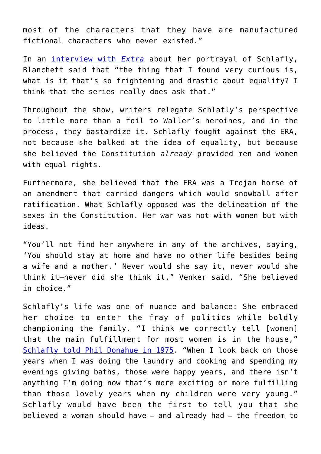most of the characters that they have are manufactured fictional characters who never existed."

In an [interview with](https://www.youtube.com/watch?v=x3hJu87Par4) *[Extra](https://www.youtube.com/watch?v=x3hJu87Par4)* about her portrayal of Schlafly, Blanchett said that "the thing that I found very curious is, what is it that's so frightening and drastic about equality? I think that the series really does ask that."

Throughout the show, writers relegate Schlafly's perspective to little more than a foil to Waller's heroines, and in the process, they bastardize it. Schlafly fought against the ERA, not because she balked at the idea of equality, but because she believed the Constitution *already* provided men and women with equal rights.

Furthermore, she believed that the ERA was a Trojan horse of an amendment that carried dangers which would snowball after ratification. What Schlafly opposed was the delineation of the sexes in the Constitution. Her war was not with women but with ideas.

"You'll not find her anywhere in any of the archives, saying, 'You should stay at home and have no other life besides being a wife and a mother.' Never would she say it, never would she think it—never did she think it," Venker said. "She believed in choice."

Schlafly's life was one of nuance and balance: She embraced her choice to enter the fray of politics while boldly championing the family. "I think we correctly tell [women] that the main fulfillment for most women is in the house," [Schlafly told Phil Donahue in 1975](https://www.youtube.com/watch?v=s13qZnKdLQ8). "When I look back on those years when I was doing the laundry and cooking and spending my evenings giving baths, those were happy years, and there isn't anything I'm doing now that's more exciting or more fulfilling than those lovely years when my children were very young." Schlafly would have been the first to tell you that she believed a woman should have – and already had – the freedom to